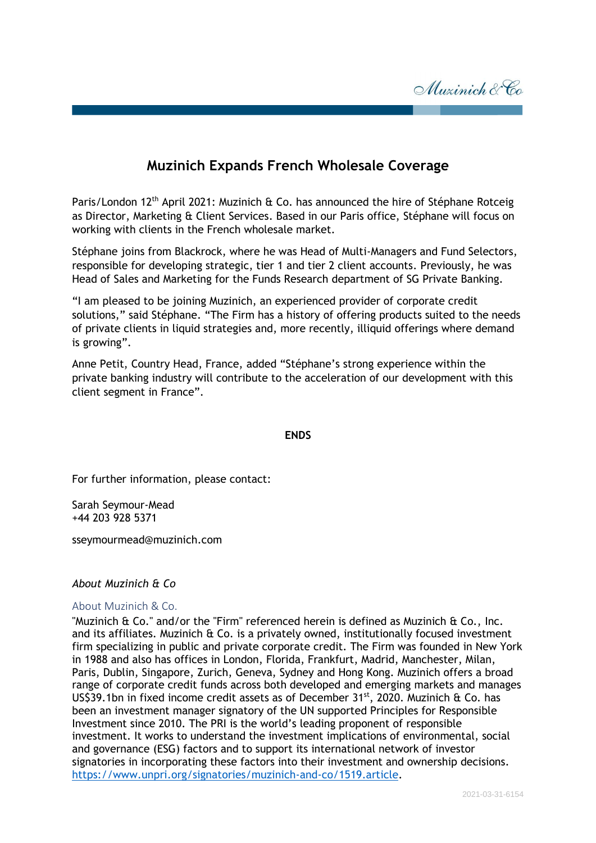

## **Muzinich Expands French Wholesale Coverage**

Paris/London 12<sup>th</sup> April 2021: Muzinich & Co. has announced the hire of Stéphane Rotceig as Director, Marketing & Client Services. Based in our Paris office, Stéphane will focus on working with clients in the French wholesale market.

Stéphane joins from Blackrock, where he was Head of Multi-Managers and Fund Selectors, responsible for developing strategic, tier 1 and tier 2 client accounts. Previously, he was Head of Sales and Marketing for the Funds Research department of SG Private Banking.

"I am pleased to be joining Muzinich, an experienced provider of corporate credit solutions," said Stéphane. "The Firm has a history of offering products suited to the needs of private clients in liquid strategies and, more recently, illiquid offerings where demand is growing".

Anne Petit, Country Head, France, added "Stéphane's strong experience within the private banking industry will contribute to the acceleration of our development with this client segment in France".

## **ENDS**

For further information, please contact:

Sarah Seymour-Mead +44 203 928 5371

sseymourmead@muzinich.com

## *About Muzinich & Co*

## About Muzinich & Co.

"Muzinich & Co." and/or the "Firm" referenced herein is defined as Muzinich & Co., Inc. and its affiliates. Muzinich & Co. is a privately owned, institutionally focused investment firm specializing in public and private corporate credit. The Firm was founded in New York in 1988 and also has offices in London, Florida, Frankfurt, Madrid, Manchester, Milan, Paris, Dublin, Singapore, Zurich, Geneva, Sydney and Hong Kong. Muzinich offers a broad range of corporate credit funds across both developed and emerging markets and manages US\$39.1bn in fixed income credit assets as of December  $31<sup>st</sup>$ , 2020. Muzinich & Co. has been an investment manager signatory of the UN supported Principles for Responsible Investment since 2010. The PRI is the world's leading proponent of responsible investment. It works to understand the investment implications of environmental, social and governance (ESG) factors and to support its international network of investor signatories in incorporating these factors into their investment and ownership decisions. [https://www.unpri.org/signatories/muzinich-and-co/1519.article.](https://www.unpri.org/signatories/muzinich-and-co/1519.article)